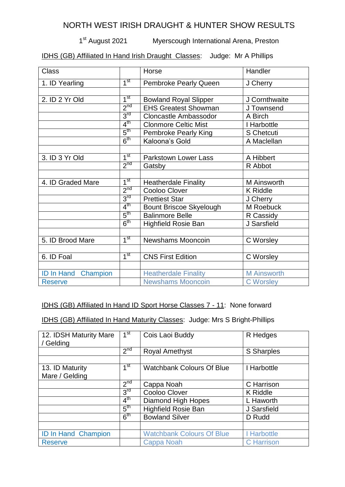## NORTH WEST IRISH DRAUGHT & HUNTER SHOW RESULTS

1<sup>st</sup> August 2021 Myerscough International Arena, Preston

IDHS (GB) Affiliated In Hand Irish Draught Classes: Judge: Mr A Phillips

| <b>Class</b>               |                 | Horse                          | Handler            |
|----------------------------|-----------------|--------------------------------|--------------------|
| 1. ID Yearling             | 1 <sup>st</sup> | <b>Pembroke Pearly Queen</b>   | J Cherry           |
|                            |                 |                                |                    |
| 2. ID 2 Yr Old             | 1 <sup>st</sup> | <b>Bowland Royal Slipper</b>   | J Cornthwaite      |
|                            | 2 <sup>nd</sup> | <b>EHS Greatest Showman</b>    | J Townsend         |
|                            | 3 <sup>rd</sup> | <b>Cloncastle Ambassodor</b>   | A Birch            |
|                            | $4^{\text{th}}$ | <b>Clonmore Celtic Mist</b>    | I Harbottle        |
|                            | $5^{\text{th}}$ | <b>Pembroke Pearly King</b>    | S Chetcuti         |
|                            | 6 <sup>th</sup> | Kaloona's Gold                 | A Maclellan        |
|                            |                 |                                |                    |
| 3. ID 3 Yr Old             | 1 <sup>st</sup> | <b>Parkstown Lower Lass</b>    | A Hibbert          |
|                            | 2 <sup>nd</sup> | Gatsby                         | R Abbot            |
|                            |                 |                                |                    |
| 4. ID Graded Mare          | 1 <sup>st</sup> | <b>Heatherdale Finality</b>    | M Ainsworth        |
|                            | 2 <sup>nd</sup> | Cooloo Clover                  | <b>K</b> Riddle    |
|                            | 3 <sup>rd</sup> | <b>Prettiest Star</b>          | J Cherry           |
|                            | $4^{\text{th}}$ | <b>Bount Briscoe Skyelough</b> | M Roebuck          |
|                            | 5 <sup>th</sup> | <b>Balinmore Belle</b>         | R Cassidy          |
|                            | 6 <sup>th</sup> | <b>Highfield Rosie Ban</b>     | J Sarsfield        |
|                            |                 |                                |                    |
| 5. ID Brood Mare           | 1 <sup>st</sup> | Newshams Mooncoin              | C Worsley          |
|                            |                 |                                |                    |
| 6. ID Foal                 | $1^{\rm st}$    | <b>CNS First Edition</b>       | C Worsley          |
|                            |                 |                                |                    |
| <b>ID In Hand Champion</b> |                 | <b>Heatherdale Finality</b>    | <b>M</b> Ainsworth |
| <b>Reserve</b>             |                 | <b>Newshams Mooncoin</b>       | <b>C</b> Worsley   |

## IDHS (GB) Affiliated In Hand ID Sport Horse Classes 7 - 11: None forward

IDHS (GB) Affiliated In Hand Maturity Classes: Judge: Mrs S Bright-Phillips

| 12. IDSH Maturity Mare<br>/ Gelding | 1 <sup>st</sup> | Cois Laoi Buddy                  | R Hedges          |
|-------------------------------------|-----------------|----------------------------------|-------------------|
|                                     | 2 <sup>nd</sup> | <b>Royal Amethyst</b>            | S Sharples        |
|                                     |                 |                                  |                   |
| 13. ID Maturity                     | 1 <sup>st</sup> | <b>Watchbank Colours Of Blue</b> | I Harbottle       |
| Mare / Gelding                      |                 |                                  |                   |
|                                     | 2 <sup>nd</sup> | Cappa Noah                       | C Harrison        |
|                                     | 3 <sup>rd</sup> | Cooloo Clover                    | <b>K</b> Riddle   |
|                                     | 4 <sup>th</sup> | Diamond High Hopes               | L Haworth         |
|                                     | $5^{\text{th}}$ | <b>Highfield Rosie Ban</b>       | J Sarsfield       |
|                                     | 6 <sup>th</sup> | <b>Bowland Silver</b>            | D Rudd            |
|                                     |                 |                                  |                   |
| <b>ID In Hand Champion</b>          |                 | <b>Watchbank Colours Of Blue</b> | I Harbottle       |
| <b>Reserve</b>                      |                 | <b>Cappa Noah</b>                | <b>C</b> Harrison |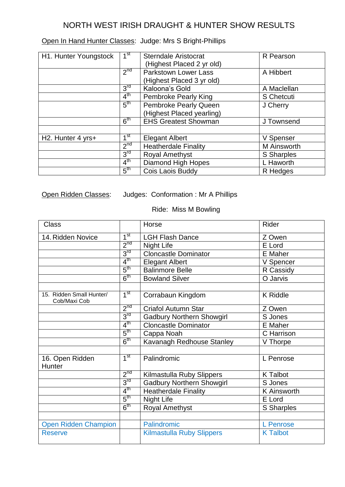## NORTH WEST IRISH DRAUGHT & HUNTER SHOW RESULTS

| Open In Hand Hunter Classes: Judge: Mrs S Bright-Phillips |  |
|-----------------------------------------------------------|--|
|-----------------------------------------------------------|--|

| H1. Hunter Youngstock          | 1st             | <b>Sterndale Aristocrat</b><br>(Highest Placed 2 yr old) | R Pearson         |
|--------------------------------|-----------------|----------------------------------------------------------|-------------------|
|                                | 2 <sup>nd</sup> | Parkstown Lower Lass                                     | A Hibbert         |
|                                |                 | (Highest Placed 3 yr old)                                |                   |
|                                | 3 <sup>rd</sup> | Kaloona's Gold                                           | A Maclellan       |
|                                | 4 <sup>th</sup> | <b>Pembroke Pearly King</b>                              | S Chetcuti        |
|                                | 5 <sup>th</sup> | Pembroke Pearly Queen                                    | J Cherry          |
|                                |                 | (Highest Placed yearling)                                |                   |
|                                | 6 <sup>th</sup> | <b>EHS Greatest Showman</b>                              | J Townsend        |
|                                |                 |                                                          |                   |
| H <sub>2</sub> . Hunter 4 yrs+ | 1 <sup>st</sup> | <b>Elegant Albert</b>                                    | V Spenser         |
|                                | 2 <sup>nd</sup> | <b>Heatherdale Finality</b>                              | M Ainsworth       |
|                                | 3 <sup>rd</sup> | <b>Royal Amethyst</b>                                    | <b>S</b> Sharples |
|                                | 4 <sup>th</sup> | Diamond High Hopes                                       | L Haworth         |
|                                | $5^{\text{th}}$ | Cois Laois Buddy                                         | R Hedges          |

Open Ridden Classes: Judges: Conformation : Mr A Phillips

Ride: Miss M Bowling

| <b>Class</b>                             |                 | Horse                            | Rider              |
|------------------------------------------|-----------------|----------------------------------|--------------------|
| 14. Ridden Novice                        | 1 <sup>st</sup> | <b>LGH Flash Dance</b>           | Z Owen             |
|                                          | 2 <sup>nd</sup> | <b>Night Life</b>                | E Lord             |
|                                          | 3 <sup>rd</sup> | <b>Cloncastle Dominator</b>      | E Maher            |
|                                          | $4^{\text{th}}$ | <b>Elegant Albert</b>            | V Spencer          |
|                                          | $5^{\text{th}}$ | <b>Balinmore Belle</b>           | R Cassidy          |
|                                          | 6 <sup>th</sup> | <b>Bowland Silver</b>            | O Jarvis           |
|                                          |                 |                                  |                    |
| 15. Ridden Small Hunter/<br>Cob/Maxi Cob | 1 <sup>st</sup> | Corrabaun Kingdom                | <b>K</b> Riddle    |
|                                          | $2^{nd}$        | <b>Criafol Autumn Star</b>       | Z Owen             |
|                                          | 3 <sup>rd</sup> | <b>Gadbury Northern Showgirl</b> | S Jones            |
|                                          | 4 <sup>th</sup> | <b>Cloncastle Dominator</b>      | E Maher            |
|                                          | $5^{\text{th}}$ | Cappa Noah                       | C Harrison         |
|                                          | $6^{\text{th}}$ | Kavanagh Redhouse Stanley        | V Thorpe           |
|                                          |                 |                                  |                    |
| 16. Open Ridden<br>Hunter                | 1 <sup>st</sup> | Palindromic                      | L Penrose          |
|                                          | 2 <sup>nd</sup> | Kilmastulla Ruby Slippers        | <b>K</b> Talbot    |
|                                          | 3 <sup>rd</sup> | <b>Gadbury Northern Showgirl</b> | S Jones            |
|                                          | 4 <sup>th</sup> | Heatherdale Finality             | <b>K</b> Ainsworth |
|                                          | $5^{\text{th}}$ | Night Life                       | E Lord             |
|                                          | $6^{\text{th}}$ | <b>Royal Amethyst</b>            | S Sharples         |
|                                          |                 |                                  |                    |
| <b>Open Ridden Champion</b>              |                 | Palindromic                      | L Penrose          |
| <b>Reserve</b>                           |                 | <b>Kilmastulla Ruby Slippers</b> | <b>K</b> Talbot    |
|                                          |                 |                                  |                    |